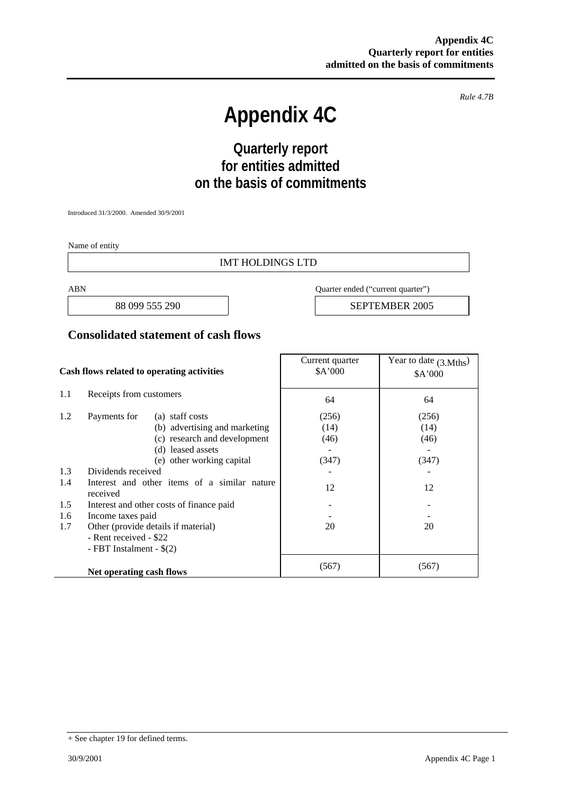*Rule 4.7B* 

# **Appendix 4C**

## **Quarterly report for entities admitted on the basis of commitments**

Introduced 31/3/2000. Amended 30/9/2001

Name of entity

#### IMT HOLDINGS LTD

ABN Quarter ended ("current quarter")

88 099 555 290 **SEPTEMBER 2005** 

#### **Consolidated statement of cash flows**

| Cash flows related to operating activities |                                                          | Current quarter<br>\$A'000 | Year to date $(3. Mths)$<br>\$A'000 |
|--------------------------------------------|----------------------------------------------------------|----------------------------|-------------------------------------|
| 1.1                                        | Receipts from customers                                  | 64                         | 64                                  |
| 1.2                                        | Payments for<br>(a) staff costs                          | (256)                      | (256)                               |
|                                            | (b) advertising and marketing                            | (14)                       | (14)                                |
|                                            | (c) research and development                             | (46)                       | (46)                                |
|                                            | (d) leased assets                                        |                            |                                     |
|                                            | (e) other working capital                                | (347)                      | (347)                               |
| 1.3                                        | Dividends received                                       |                            |                                     |
| 1.4                                        | Interest and other items of a similar nature<br>received | 12                         | 12                                  |
| 1.5                                        | Interest and other costs of finance paid                 |                            |                                     |
| 1.6                                        | Income taxes paid                                        |                            |                                     |
| 1.7                                        | Other (provide details if material)                      | 20                         | 20                                  |
|                                            | - Rent received - \$22                                   |                            |                                     |
|                                            | - FBT Instalment - $\S(2)$                               |                            |                                     |
|                                            | Net operating cash flows                                 | (567)                      | (567)                               |

<sup>+</sup> See chapter 19 for defined terms.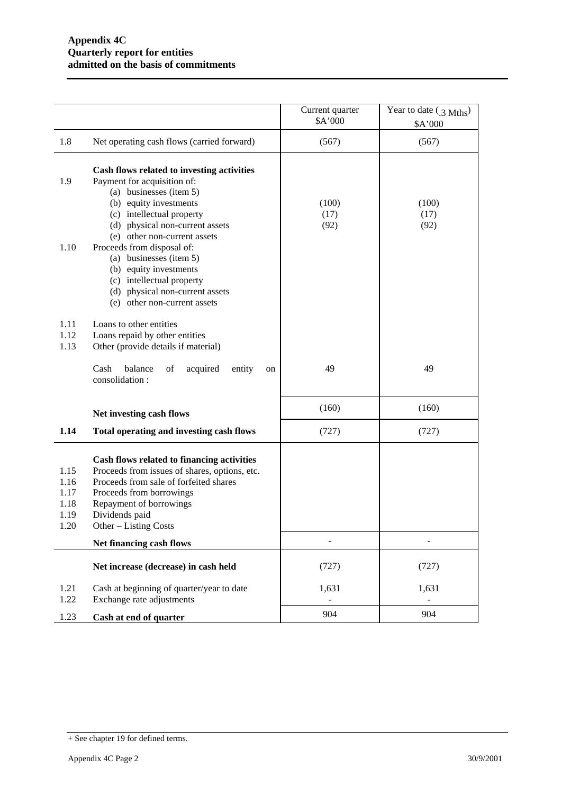|                                              |                                                                                                                                                                                                                                                                                                                                                | Current quarter<br>\$A'000 | Year to date (3 Mths)<br>\$A'000 |
|----------------------------------------------|------------------------------------------------------------------------------------------------------------------------------------------------------------------------------------------------------------------------------------------------------------------------------------------------------------------------------------------------|----------------------------|----------------------------------|
| 1.8                                          | Net operating cash flows (carried forward)                                                                                                                                                                                                                                                                                                     | (567)                      | (567)                            |
| 1.9<br>1.10                                  | Cash flows related to investing activities<br>Payment for acquisition of:<br>(a) businesses (item 5)<br>(b) equity investments<br>(c) intellectual property<br>(d) physical non-current assets<br>(e) other non-current assets<br>Proceeds from disposal of:<br>(a) businesses (item 5)<br>(b) equity investments<br>(c) intellectual property | (100)<br>(17)<br>(92)      | (100)<br>(17)<br>(92)            |
| 1.11<br>1.12<br>1.13                         | (d) physical non-current assets<br>(e) other non-current assets<br>Loans to other entities<br>Loans repaid by other entities<br>Other (provide details if material)<br>balance<br>Cash<br>of<br>acquired<br>entity<br>on<br>consolidation:                                                                                                     | 49                         | 49                               |
|                                              | Net investing cash flows                                                                                                                                                                                                                                                                                                                       | (160)                      | (160)                            |
| 1.14                                         | Total operating and investing cash flows                                                                                                                                                                                                                                                                                                       | (727)                      | (727)                            |
| 1.15<br>1.16<br>1.17<br>1.18<br>1.19<br>1.20 | Cash flows related to financing activities<br>Proceeds from issues of shares, options, etc.<br>Proceeds from sale of forfeited shares<br>Proceeds from borrowings<br>Repayment of borrowings<br>Dividends paid<br>Other – Listing Costs                                                                                                        |                            |                                  |
|                                              | Net financing cash flows                                                                                                                                                                                                                                                                                                                       | $\overline{\phantom{m}}$   |                                  |
|                                              | Net increase (decrease) in cash held                                                                                                                                                                                                                                                                                                           | (727)                      | (727)                            |
| 1.21<br>1.22                                 | Cash at beginning of quarter/year to date<br>Exchange rate adjustments                                                                                                                                                                                                                                                                         | 1,631                      | 1,631<br>$\blacksquare$          |
| 1.23                                         | Cash at end of quarter                                                                                                                                                                                                                                                                                                                         | 904                        | 904                              |

<sup>+</sup> See chapter 19 for defined terms.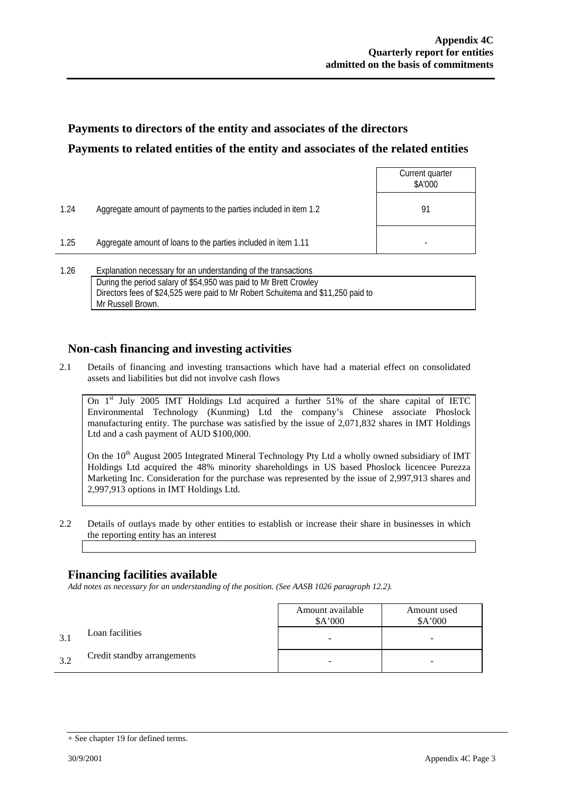### **Payments to directors of the entity and associates of the directors Payments to related entities of the entity and associates of the related entities**

|      |                                                                                                                                     | Current quarter<br>\$A'000 |
|------|-------------------------------------------------------------------------------------------------------------------------------------|----------------------------|
| 1.24 | Aggregate amount of payments to the parties included in item 1.2                                                                    | 91                         |
| 1.25 | Aggregate amount of loans to the parties included in item 1.11                                                                      |                            |
| 1.26 | Explanation necessary for an understanding of the transactions<br>During the period salary of \$54,950 was paid to Mr Brett Crowley |                            |

Directors fees of \$24,525 were paid to Mr Robert Schuitema and \$11,250 paid to Mr Russell Brown.

### **Non-cash financing and investing activities**

2.1 Details of financing and investing transactions which have had a material effect on consolidated assets and liabilities but did not involve cash flows

On 1<sup>st</sup> July 2005 IMT Holdings Ltd acquired a further 51% of the share capital of IETC Environmental Technology (Kunming) Ltd the company's Chinese associate Phoslock manufacturing entity. The purchase was satisfied by the issue of 2,071,832 shares in IMT Holdings Ltd and a cash payment of AUD \$100,000.

On the 10<sup>th</sup> August 2005 Integrated Mineral Technology Pty Ltd a wholly owned subsidiary of IMT Holdings Ltd acquired the 48% minority shareholdings in US based Phoslock licencee Purezza Marketing Inc. Consideration for the purchase was represented by the issue of 2,997,913 shares and 2,997,913 options in IMT Holdings Ltd.

2.2 Details of outlays made by other entities to establish or increase their share in businesses in which the reporting entity has an interest

### **Financing facilities available**

*Add notes as necessary for an understanding of the position. (See AASB 1026 paragraph 12.2).* 

|     |                             | Amount available<br>\$A'000 | Amount used<br>\$A'000 |
|-----|-----------------------------|-----------------------------|------------------------|
| 3.1 | Loan facilities             |                             |                        |
| 3.2 | Credit standby arrangements | -                           | -                      |

<sup>+</sup> See chapter 19 for defined terms.